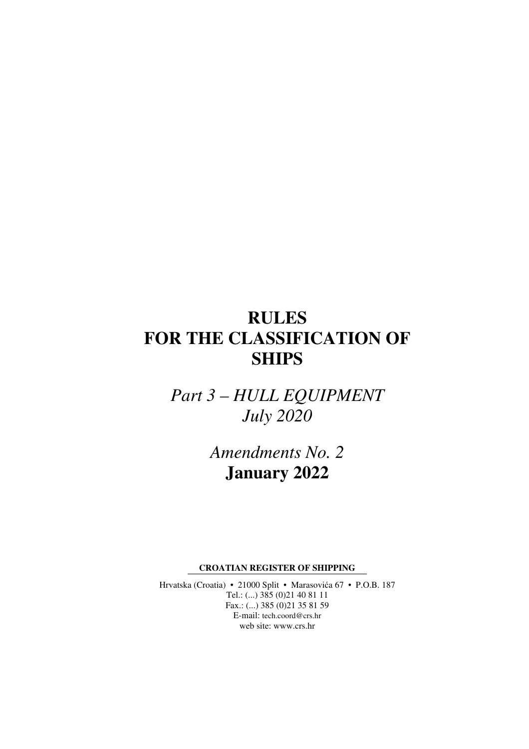# **RULES FOR THE CLASSIFICATION OF SHIPS**

*Part 3 – HULL EQUIPMENT July 2020* 

> *Amendments No. 2*  **January 2022**

**CROATIAN REGISTER OF SHIPPING** 

Hrvatska (Croatia) • 21000 Split • Marasovića 67 • P.O.B. 187 Tel.: (...) 385 (0)21 40 81 11 Fax.: (...) 385 (0)21 35 81 59 E-mail: tech.coord@crs.hr web site: www.crs.hr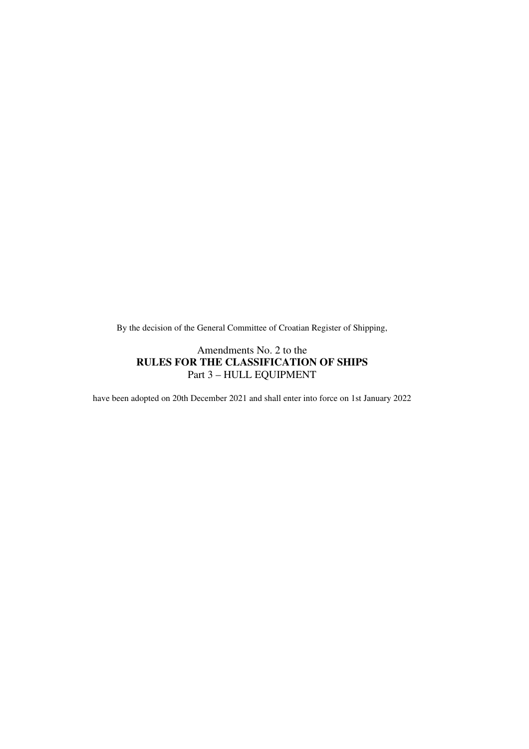By the decision of the General Committee of Croatian Register of Shipping,

# Amendments No. 2 to the **RULES FOR THE CLASSIFICATION OF SHIPS**  Part 3 – HULL EQUIPMENT

have been adopted on 20th December 2021 and shall enter into force on 1st January 2022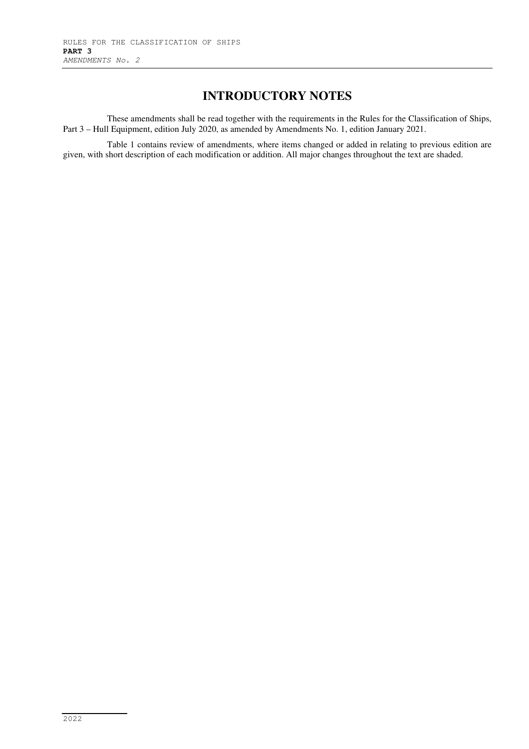# **INTRODUCTORY NOTES**

These amendments shall be read together with the requirements in the Rules for the Classification of Ships, Part 3 – Hull Equipment, edition July 2020, as amended by Amendments No. 1, edition January 2021.

Table 1 contains review of amendments, where items changed or added in relating to previous edition are given, with short description of each modification or addition. All major changes throughout the text are shaded.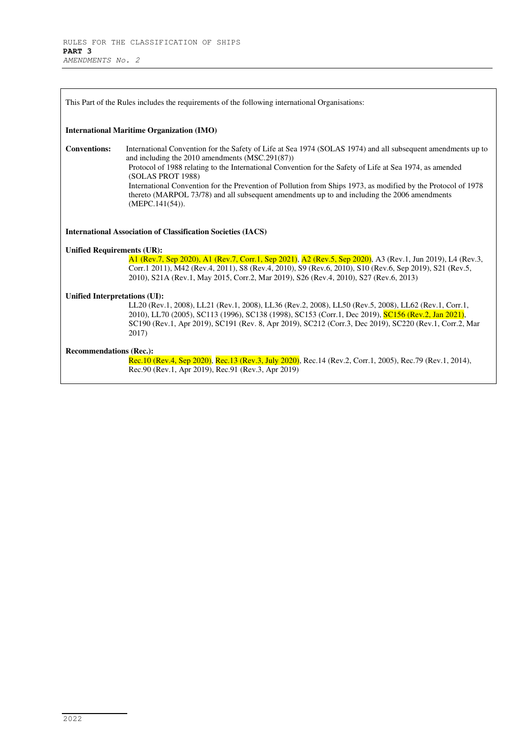| This Part of the Rules includes the requirements of the following international Organisations: |                                                                                                                                                                                                                                                                                                                                                                                                                                                                                                                                      |  |  |  |  |  |  |  |  |
|------------------------------------------------------------------------------------------------|--------------------------------------------------------------------------------------------------------------------------------------------------------------------------------------------------------------------------------------------------------------------------------------------------------------------------------------------------------------------------------------------------------------------------------------------------------------------------------------------------------------------------------------|--|--|--|--|--|--|--|--|
|                                                                                                | <b>International Maritime Organization (IMO)</b>                                                                                                                                                                                                                                                                                                                                                                                                                                                                                     |  |  |  |  |  |  |  |  |
| <b>Conventions:</b>                                                                            | International Convention for the Safety of Life at Sea 1974 (SOLAS 1974) and all subsequent amendments up to<br>and including the 2010 amendments (MSC.291(87))<br>Protocol of 1988 relating to the International Convention for the Safety of Life at Sea 1974, as amended<br>(SOLAS PROT 1988)<br>International Convention for the Prevention of Pollution from Ships 1973, as modified by the Protocol of 1978<br>thereto (MARPOL 73/78) and all subsequent amendments up to and including the 2006 amendments<br>(MEPC.141(54)). |  |  |  |  |  |  |  |  |
|                                                                                                | <b>International Association of Classification Societies (IACS)</b>                                                                                                                                                                                                                                                                                                                                                                                                                                                                  |  |  |  |  |  |  |  |  |
| <b>Unified Requirements (UR):</b>                                                              |                                                                                                                                                                                                                                                                                                                                                                                                                                                                                                                                      |  |  |  |  |  |  |  |  |
|                                                                                                | A1 (Rev.7, Sep 2020), A1 (Rev.7, Corr.1, Sep 2021), A2 (Rev.5, Sep 2020), A3 (Rev.1, Jun 2019), L4 (Rev.3,<br>Corr.1 2011), M42 (Rev.4, 2011), S8 (Rev.4, 2010), S9 (Rev.6, 2010), S10 (Rev.6, Sep 2019), S21 (Rev.5,<br>2010), S21A (Rev.1, May 2015, Corr.2, Mar 2019), S26 (Rev.4, 2010), S27 (Rev.6, 2013)                                                                                                                                                                                                                       |  |  |  |  |  |  |  |  |
| Unified Interpretations (UI):                                                                  |                                                                                                                                                                                                                                                                                                                                                                                                                                                                                                                                      |  |  |  |  |  |  |  |  |
|                                                                                                | LL20 (Rev.1, 2008), LL21 (Rev.1, 2008), LL36 (Rev.2, 2008), LL50 (Rev.5, 2008), LL62 (Rev.1, Corr.1,<br>2010), LL70 (2005), SC113 (1996), SC138 (1998), SC153 (Corr.1, Dec 2019), SC156 (Rev.2, Jan 2021),<br>SC190 (Rev.1, Apr 2019), SC191 (Rev. 8, Apr 2019), SC212 (Corr.3, Dec 2019), SC220 (Rev.1, Corr.2, Mar<br>2017)                                                                                                                                                                                                        |  |  |  |  |  |  |  |  |
| <b>Recommendations (Rec.):</b>                                                                 | Rec.10 (Rev.4, Sep 2020), Rec.13 (Rev.3, July 2020), Rec.14 (Rev.2, Corr.1, 2005), Rec.79 (Rev.1, 2014),<br>Rec.90 (Rev.1, Apr 2019), Rec.91 (Rev.3, Apr 2019)                                                                                                                                                                                                                                                                                                                                                                       |  |  |  |  |  |  |  |  |

٠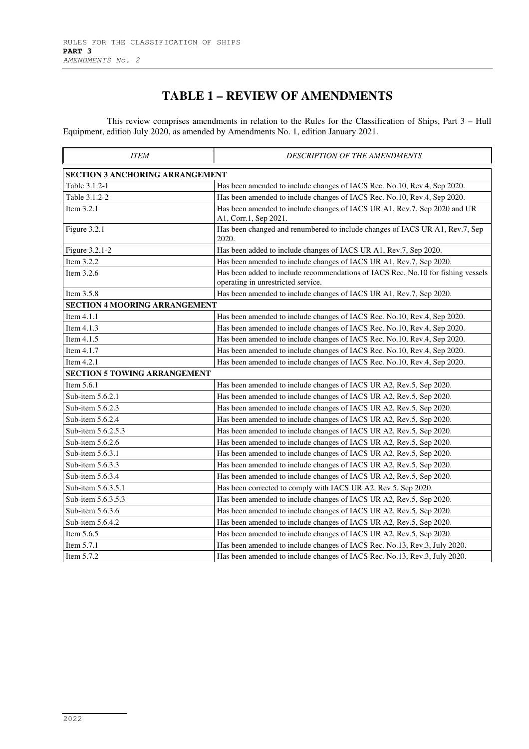# **TABLE 1 – REVIEW OF AMENDMENTS**

This review comprises amendments in relation to the Rules for the Classification of Ships, Part 3 – Hull Equipment, edition July 2020, as amended by Amendments No. 1, edition January 2021.

| <b>ITEM</b>                            | <b>DESCRIPTION OF THE AMENDMENTS</b>                                                                                   |  |  |  |  |  |  |  |  |  |
|----------------------------------------|------------------------------------------------------------------------------------------------------------------------|--|--|--|--|--|--|--|--|--|
| <b>SECTION 3 ANCHORING ARRANGEMENT</b> |                                                                                                                        |  |  |  |  |  |  |  |  |  |
| Table 3.1.2-1                          | Has been amended to include changes of IACS Rec. No.10, Rev.4, Sep 2020.                                               |  |  |  |  |  |  |  |  |  |
| Table 3.1.2-2                          | Has been amended to include changes of IACS Rec. No.10, Rev.4, Sep 2020.                                               |  |  |  |  |  |  |  |  |  |
| Item 3.2.1                             | Has been amended to include changes of IACS UR A1, Rev.7, Sep 2020 and UR<br>A1, Corr.1, Sep 2021.                     |  |  |  |  |  |  |  |  |  |
| Figure 3.2.1                           | Has been changed and renumbered to include changes of IACS UR A1, Rev.7, Sep<br>2020.                                  |  |  |  |  |  |  |  |  |  |
| Figure 3.2.1-2                         | Has been added to include changes of IACS UR A1, Rev.7, Sep 2020.                                                      |  |  |  |  |  |  |  |  |  |
| Item 3.2.2                             | Has been amended to include changes of IACS UR A1, Rev.7, Sep 2020.                                                    |  |  |  |  |  |  |  |  |  |
| Item 3.2.6                             | Has been added to include recommendations of IACS Rec. No.10 for fishing vessels<br>operating in unrestricted service. |  |  |  |  |  |  |  |  |  |
| Item 3.5.8                             | Has been amended to include changes of IACS UR A1, Rev.7, Sep 2020.                                                    |  |  |  |  |  |  |  |  |  |
| <b>SECTION 4 MOORING ARRANGEMENT</b>   |                                                                                                                        |  |  |  |  |  |  |  |  |  |
| Item 4.1.1                             | Has been amended to include changes of IACS Rec. No.10, Rev.4, Sep 2020.                                               |  |  |  |  |  |  |  |  |  |
| Item 4.1.3                             | Has been amended to include changes of IACS Rec. No.10, Rev.4, Sep 2020.                                               |  |  |  |  |  |  |  |  |  |
| Item 4.1.5                             | Has been amended to include changes of IACS Rec. No.10, Rev.4, Sep 2020.                                               |  |  |  |  |  |  |  |  |  |
| Item $4.1.7$                           | Has been amended to include changes of IACS Rec. No.10, Rev.4, Sep 2020.                                               |  |  |  |  |  |  |  |  |  |
| Item $4.2.1$                           | Has been amended to include changes of IACS Rec. No.10, Rev.4, Sep 2020.                                               |  |  |  |  |  |  |  |  |  |
| <b>SECTION 5 TOWING ARRANGEMENT</b>    |                                                                                                                        |  |  |  |  |  |  |  |  |  |
| Item 5.6.1                             | Has been amended to include changes of IACS UR A2, Rev.5, Sep 2020.                                                    |  |  |  |  |  |  |  |  |  |
| Sub-item 5.6.2.1                       | Has been amended to include changes of IACS UR A2, Rev.5, Sep 2020.                                                    |  |  |  |  |  |  |  |  |  |
| Sub-item 5.6.2.3                       | Has been amended to include changes of IACS UR A2, Rev.5, Sep 2020.                                                    |  |  |  |  |  |  |  |  |  |
| Sub-item 5.6.2.4                       | Has been amended to include changes of IACS UR A2, Rev.5, Sep 2020.                                                    |  |  |  |  |  |  |  |  |  |
| Sub-item 5.6.2.5.3                     | Has been amended to include changes of IACS UR A2, Rev.5, Sep 2020.                                                    |  |  |  |  |  |  |  |  |  |
| Sub-item 5.6.2.6                       | Has been amended to include changes of IACS UR A2, Rev.5, Sep 2020.                                                    |  |  |  |  |  |  |  |  |  |
| Sub-item 5.6.3.1                       | Has been amended to include changes of IACS UR A2, Rev.5, Sep 2020.                                                    |  |  |  |  |  |  |  |  |  |
| Sub-item 5.6.3.3                       | Has been amended to include changes of IACS UR A2, Rev.5, Sep 2020.                                                    |  |  |  |  |  |  |  |  |  |
| Sub-item 5.6.3.4                       | Has been amended to include changes of IACS UR A2, Rev.5, Sep 2020.                                                    |  |  |  |  |  |  |  |  |  |
| Sub-item 5.6.3.5.1                     | Has been corrected to comply with IACS UR A2, Rev.5, Sep 2020.                                                         |  |  |  |  |  |  |  |  |  |
| Sub-item 5.6.3.5.3                     | Has been amended to include changes of IACS UR A2, Rev.5, Sep 2020.                                                    |  |  |  |  |  |  |  |  |  |
| Sub-item 5.6.3.6                       | Has been amended to include changes of IACS UR A2, Rev.5, Sep 2020.                                                    |  |  |  |  |  |  |  |  |  |
| Sub-item 5.6.4.2                       | Has been amended to include changes of IACS UR A2, Rev.5, Sep 2020.                                                    |  |  |  |  |  |  |  |  |  |
| Item 5.6.5                             | Has been amended to include changes of IACS UR A2, Rev.5, Sep 2020.                                                    |  |  |  |  |  |  |  |  |  |
| Item 5.7.1                             | Has been amended to include changes of IACS Rec. No.13, Rev.3, July 2020.                                              |  |  |  |  |  |  |  |  |  |
| Item $5.7.2$                           | Has been amended to include changes of IACS Rec. No.13, Rev.3, July 2020.                                              |  |  |  |  |  |  |  |  |  |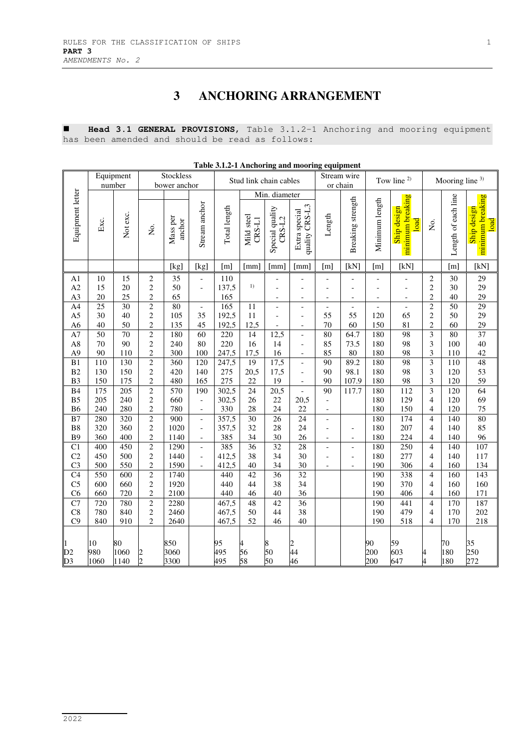# **3 ANCHORING ARRANGEMENT**

 **Head 3.1 GENERAL PROVISIONS**, Table 3.1.2-1 Anchoring and mooring equipment has been amended and should be read as follows:

|                                        | Table 3.1.2-1 Anchoring and mooring equipment |                         |                                                |                           |                                                      |                        |                        |                             |                                 |                                                            |                               |                                            |                                            |                                                    |                     |                                         |
|----------------------------------------|-----------------------------------------------|-------------------------|------------------------------------------------|---------------------------|------------------------------------------------------|------------------------|------------------------|-----------------------------|---------------------------------|------------------------------------------------------------|-------------------------------|--------------------------------------------|--------------------------------------------|----------------------------------------------------|---------------------|-----------------------------------------|
|                                        |                                               | Equipment<br>number     |                                                | Stockless<br>bower anchor |                                                      | Stud link chain cables |                        |                             | Stream wire<br>or chain         |                                                            |                               | Tow line <sup>2)</sup>                     |                                            | Mooring line $3$ )                                 |                     |                                         |
|                                        |                                               |                         |                                                |                           |                                                      |                        |                        | Min. diameter               |                                 |                                                            |                               |                                            |                                            |                                                    |                     |                                         |
| Equipment letter                       | Exc.                                          | Not exc.                | Σó.                                            | Mass per<br>anchor        | Stream anchor                                        | Total length           | Mild steel<br>$CRS-L1$ | Special quality<br>$CRS-L2$ | quality CRS-L3<br>Extra special | Length                                                     | Breaking strength             | Minimum length                             | minimum breaking<br>Ship design<br>load    | Σó.                                                | Length of each line | minimum breaking<br>Ship design<br>load |
|                                        |                                               |                         |                                                | [kg]                      | [kg]                                                 | [m]                    | [mm]                   | [mm]                        | [mm]                            | $\lceil m \rceil$                                          | [kN]                          | [m]                                        | [kN]                                       |                                                    | [m]                 | [kN]                                    |
| A <sub>1</sub><br>A2<br>A <sub>3</sub> | 10<br>15<br>20                                | 15<br>20<br>25          | $\sqrt{2}$<br>$\overline{c}$<br>$\overline{c}$ | 35<br>50<br>65            | $\frac{1}{2}$<br>$\overline{a}$                      | 110<br>137,5<br>165    | 1)                     | $\overline{a}$              | $\overline{a}$                  | l,<br>$\overline{\phantom{a}}$<br>$\overline{\phantom{a}}$ | ٠<br>$\overline{\phantom{a}}$ | $\overline{a}$<br>$\overline{\phantom{a}}$ | $\overline{\phantom{a}}$<br>$\blacksquare$ | $\overline{c}$<br>$\overline{c}$<br>$\overline{c}$ | 30<br>30<br>40      | 29<br>29<br>29                          |
| A4                                     | 25                                            | 30                      | $\overline{2}$                                 | 80                        | $\overline{\phantom{a}}$                             | 165                    | 11                     | $\overline{a}$              | $\overline{a}$                  | $\overline{a}$                                             | $\bar{\phantom{a}}$           | $\overline{a}$                             | $\bar{\phantom{a}}$                        | $\overline{c}$                                     | 50                  | 29                                      |
| A <sub>5</sub>                         | 30                                            | 40                      | $\overline{c}$                                 | 105                       | 35                                                   | 192,5                  | 11                     | $\overline{a}$              | $\overline{a}$                  | 55                                                         | 55                            | 120                                        | 65                                         | $\overline{c}$                                     | 50                  | 29                                      |
| A <sub>6</sub>                         | 40                                            | 50                      | $\overline{c}$                                 | 135                       | 45                                                   | 192,5                  | 12,5                   |                             | $\overline{\phantom{a}}$        | 70                                                         | 60                            | 150                                        | 81                                         | $\overline{c}$                                     | 60                  | 29                                      |
| A7                                     | $\overline{50}$                               | $\overline{70}$         | $\overline{2}$                                 | 180                       | $\overline{60}$                                      | 220                    | 14                     | 12,5                        | $\overline{a}$                  | $\overline{80}$                                            | 64.7                          | 180                                        | 98                                         | $\overline{\mathbf{3}}$                            | $\overline{80}$     | 37                                      |
| A8                                     | 70                                            | 90                      | $\sqrt{2}$                                     | 240                       | 80                                                   | 220                    | 16                     | 14                          | $\overline{a}$                  | 85                                                         | 73.5                          | 180                                        | 98                                         | 3                                                  | 100                 | 40                                      |
| A <sub>9</sub>                         | 90                                            | 110                     | $\overline{c}$                                 | 300                       | 100                                                  | 247,5                  | 17,5                   | 16                          | $\overline{a}$                  | 85                                                         | $80\,$                        | 180                                        | 98                                         | 3                                                  | 110                 | 42                                      |
| B1                                     | 110                                           | 130                     | $\overline{2}$                                 | 360                       | 120                                                  | 247,5                  | 19                     | 17,5                        | $\overline{a}$                  | $\overline{90}$                                            | 89.2                          | 180                                        | 98                                         | $\overline{\mathbf{3}}$                            | 110                 | 48                                      |
| B2                                     | 130                                           | 150                     | $\overline{c}$                                 | 420                       | 140                                                  | 275                    | 20,5                   | 17,5                        | $\overline{a}$                  | 90                                                         | 98.1                          | 180                                        | 98                                         | 3                                                  | 120                 | 53                                      |
| B <sub>3</sub>                         | 150                                           | 175<br>$\overline{205}$ | $\overline{c}$                                 | 480<br>570                | 165                                                  | 275                    | 22                     | 19                          | $\overline{\phantom{a}}$        | 90<br>$\overline{90}$                                      | 107.9                         | 180                                        | 98<br>$\overline{112}$                     | 3<br>$\overline{3}$                                | 120<br>120          | 59<br>64                                |
| B4                                     | 175                                           |                         | $\overline{2}$<br>$\overline{c}$               |                           | 190                                                  | 302,5                  | 24                     | $\overline{20,5}$           | $\overline{a}$                  |                                                            | 117.7                         | 180                                        |                                            |                                                    |                     |                                         |
| ${\bf B5}$<br>B <sub>6</sub>           | 205<br>240                                    | 240<br>280              | $\overline{c}$                                 | 660<br>780                | $\overline{\phantom{0}}$<br>$\overline{\phantom{a}}$ | 302,5<br>330           | 26<br>28               | 22<br>24                    | 20,5<br>22                      | $\overline{\phantom{a}}$                                   |                               | 180<br>180                                 | 129<br>150                                 | $\overline{4}$<br>$\overline{4}$                   | 120<br>120          | 69<br>75                                |
| B7                                     | 280                                           | 320                     | $\overline{c}$                                 | 900                       | $\overline{\phantom{a}}$                             | 357,5                  | 30                     | 26                          | 24                              | $\overline{\phantom{a}}$<br>$\overline{a}$                 |                               | 180                                        | 174                                        | 4                                                  | 140                 | $\overline{80}$                         |
| B <sub>8</sub>                         | 320                                           | 360                     | $\overline{c}$                                 | 1020                      | $\overline{a}$                                       | 357,5                  | 32                     | 28                          | 24                              | $\overline{a}$                                             | $\overline{a}$                | 180                                        | 207                                        | 4                                                  | 140                 | 85                                      |
| <b>B9</b>                              | 360                                           | 400                     | $\overline{c}$                                 | 1140                      | $\qquad \qquad \Box$                                 | 385                    | 34                     | 30                          | 26                              | $\overline{\phantom{a}}$                                   | $\overline{a}$                | 180                                        | 224                                        | $\overline{4}$                                     | 140                 | 96                                      |
| $\overline{C}$                         | 400                                           | 450                     | $\overline{2}$                                 | 1290                      | $\overline{a}$                                       | 385                    | $\overline{36}$        | 32                          | $\overline{28}$                 | $\overline{a}$                                             | $\overline{\phantom{a}}$      | 180                                        | 250                                        | $\overline{4}$                                     | 140                 | 107                                     |
| C <sub>2</sub>                         | 450                                           | 500                     | $\sqrt{2}$                                     | 1440                      | $\qquad \qquad -$                                    | 412,5                  | 38                     | 34                          | 30                              | $\blacksquare$                                             | $\overline{a}$                | 180                                        | 277                                        | 4                                                  | 140                 | 117                                     |
| C <sub>3</sub>                         | 500                                           | 550                     | $\overline{c}$                                 | 1590                      | $\blacksquare$                                       | 412,5                  | 40                     | 34                          | 30                              | $\overline{\phantom{a}}$                                   | $\overline{\phantom{a}}$      | 190                                        | 306                                        | $\overline{4}$                                     | 160                 | 134                                     |
| C <sub>4</sub>                         | 550                                           | 600                     | $\overline{c}$                                 | 1740                      |                                                      | 440                    | 42                     | 36                          | 32                              |                                                            |                               | 190                                        | 338                                        | $\overline{4}$                                     | 160                 | 143                                     |
| C <sub>5</sub>                         | 600                                           | 660                     | $\overline{c}$                                 | 1920                      |                                                      | 440                    | 44                     | 38                          | 34                              |                                                            |                               | 190                                        | 370                                        | $\overline{\mathcal{L}}$                           | 160                 | 160                                     |
| C <sub>6</sub>                         | 660                                           | 720                     | $\overline{c}$                                 | 2100                      |                                                      | 440                    | 46                     | 40                          | 36                              |                                                            |                               | 190                                        | 406                                        | $\overline{4}$                                     | 160                 | 171                                     |
| C7                                     | 720                                           | 780                     | $\overline{2}$                                 | 2280                      |                                                      | 467,5                  | 48                     | 42                          | $\overline{36}$                 |                                                            |                               | 190                                        | 441                                        | $\overline{4}$                                     | 170                 | 187                                     |
| C8                                     | 780                                           | 840                     | $\sqrt{2}$                                     | 2460                      |                                                      | 467,5                  | 50                     | 44                          | 38                              |                                                            |                               | 190                                        | 479                                        | $\overline{4}$                                     | 170                 | 202                                     |
| C <sub>9</sub>                         | 840                                           | 910                     | $\overline{2}$                                 | 2640                      |                                                      | 467,5                  | 52                     | 46                          | 40                              |                                                            |                               | 190                                        | 518                                        | $\overline{4}$                                     | 170                 | 218                                     |
| D2<br>D <sub>3</sub>                   | 10<br>980<br>1060                             | 80<br>1060<br>1140      | $\frac{2}{2}$                                  | 850<br>3060<br>3300       |                                                      | 95<br>495<br>495       | 56<br>58               | 8<br>50<br>50               | $\overline{c}$<br>44<br>46      |                                                            |                               | 90<br>200<br>200                           | 59<br>603<br>647                           | $\overline{4}$                                     | 70<br>180<br>180    | 35<br>250<br>272                        |

**Table 3.1.2-1 Anchoring and mooring equipment**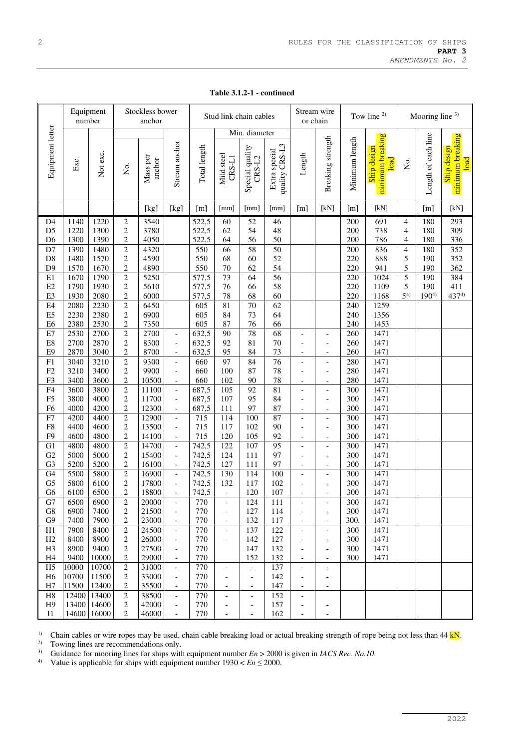|                                                                                                                                                                                                                                                                                                                                                                                   | Equipment<br>number                                                                                                                                                                                                                  |                                                                                                                                                                                                                                      |                                                                                                                                                                                                                                                                                                                                                                                                                                                                                                                                                | Stockless bower<br>anchor                                                                                                                                                                                                                                     |                                                                                                                                                                                                                                                                                                                                                                                                                   | Stud link chain cables                                                                                                                                                                                                                                 |                                                                                                                                                                                                      |                                                                                                                                                                                    |                                                                                                                                                                                                        | Stream wire<br>or chain                                                                                                                                                                                                                                                                                                                                          |                                                                                                                                                                                                                                                                                                                                                                                                                                                  | Tow line $2$                                                                                                                                                                                            |                                                                                                                                                                                                                                |                                                                                                  | Mooring line $3$ )                                                |                                                               |  |
|-----------------------------------------------------------------------------------------------------------------------------------------------------------------------------------------------------------------------------------------------------------------------------------------------------------------------------------------------------------------------------------|--------------------------------------------------------------------------------------------------------------------------------------------------------------------------------------------------------------------------------------|--------------------------------------------------------------------------------------------------------------------------------------------------------------------------------------------------------------------------------------|------------------------------------------------------------------------------------------------------------------------------------------------------------------------------------------------------------------------------------------------------------------------------------------------------------------------------------------------------------------------------------------------------------------------------------------------------------------------------------------------------------------------------------------------|---------------------------------------------------------------------------------------------------------------------------------------------------------------------------------------------------------------------------------------------------------------|-------------------------------------------------------------------------------------------------------------------------------------------------------------------------------------------------------------------------------------------------------------------------------------------------------------------------------------------------------------------------------------------------------------------|--------------------------------------------------------------------------------------------------------------------------------------------------------------------------------------------------------------------------------------------------------|------------------------------------------------------------------------------------------------------------------------------------------------------------------------------------------------------|------------------------------------------------------------------------------------------------------------------------------------------------------------------------------------|--------------------------------------------------------------------------------------------------------------------------------------------------------------------------------------------------------|------------------------------------------------------------------------------------------------------------------------------------------------------------------------------------------------------------------------------------------------------------------------------------------------------------------------------------------------------------------|--------------------------------------------------------------------------------------------------------------------------------------------------------------------------------------------------------------------------------------------------------------------------------------------------------------------------------------------------------------------------------------------------------------------------------------------------|---------------------------------------------------------------------------------------------------------------------------------------------------------------------------------------------------------|--------------------------------------------------------------------------------------------------------------------------------------------------------------------------------------------------------------------------------|--------------------------------------------------------------------------------------------------|-------------------------------------------------------------------|---------------------------------------------------------------|--|
|                                                                                                                                                                                                                                                                                                                                                                                   |                                                                                                                                                                                                                                      |                                                                                                                                                                                                                                      |                                                                                                                                                                                                                                                                                                                                                                                                                                                                                                                                                |                                                                                                                                                                                                                                                               |                                                                                                                                                                                                                                                                                                                                                                                                                   |                                                                                                                                                                                                                                                        |                                                                                                                                                                                                      | Min. diameter                                                                                                                                                                      |                                                                                                                                                                                                        |                                                                                                                                                                                                                                                                                                                                                                  |                                                                                                                                                                                                                                                                                                                                                                                                                                                  |                                                                                                                                                                                                         |                                                                                                                                                                                                                                |                                                                                                  |                                                                   |                                                               |  |
| Equipment letter                                                                                                                                                                                                                                                                                                                                                                  | Exc.                                                                                                                                                                                                                                 | Not exc.                                                                                                                                                                                                                             | Σó.                                                                                                                                                                                                                                                                                                                                                                                                                                                                                                                                            | Mass per<br>anchor                                                                                                                                                                                                                                            | Stream anchor                                                                                                                                                                                                                                                                                                                                                                                                     | Total length                                                                                                                                                                                                                                           | Mild steel<br>$CRS-L1$                                                                                                                                                                               | Special quality<br>$CRS-L2$                                                                                                                                                        | quality CRS-L3<br>Extra special                                                                                                                                                                        | Length                                                                                                                                                                                                                                                                                                                                                           | Breaking strength                                                                                                                                                                                                                                                                                                                                                                                                                                | Minimum length                                                                                                                                                                                          | minimum breaking<br>Ship design<br>load                                                                                                                                                                                        | Χo.                                                                                              | Length of each line                                               | minimum breaking<br>Ship design<br>load                       |  |
|                                                                                                                                                                                                                                                                                                                                                                                   |                                                                                                                                                                                                                                      |                                                                                                                                                                                                                                      |                                                                                                                                                                                                                                                                                                                                                                                                                                                                                                                                                | [kg]                                                                                                                                                                                                                                                          | [kg]                                                                                                                                                                                                                                                                                                                                                                                                              | [m]                                                                                                                                                                                                                                                    | [mm]                                                                                                                                                                                                 | [mm]                                                                                                                                                                               | [mm]                                                                                                                                                                                                   | [m]                                                                                                                                                                                                                                                                                                                                                              | [kN]                                                                                                                                                                                                                                                                                                                                                                                                                                             | [m]                                                                                                                                                                                                     | [kN]                                                                                                                                                                                                                           |                                                                                                  | [m]                                                               | [kN]                                                          |  |
| D <sub>4</sub><br>D <sub>5</sub><br>D <sub>6</sub><br>D7<br>$\mathbf{D}8$<br>D <sub>9</sub><br>$\rm E1$<br>E2<br>E3<br>E4<br>E <sub>5</sub><br>E <sub>6</sub><br>$\rm E7$<br>E8<br>E <sub>9</sub><br>F1<br>F2<br>F <sub>3</sub><br>F4<br>F <sub>5</sub><br>F <sub>6</sub><br>F7<br>${\rm F}8$<br>F <sub>9</sub><br>G1<br>G2<br>G <sub>3</sub><br>G <sub>4</sub><br>G <sub>5</sub> | 1140<br>1220<br>1300<br>1390<br>1480<br>1570<br>1670<br>1790<br>1930<br>2080<br>2230<br>2380<br>2530<br>2700<br>2870<br>3040<br>3210<br>3400<br>3600<br>3800<br>4000<br>4200<br>4400<br>4600<br>4800<br>5000<br>5200<br>5500<br>5800 | 1220<br>1300<br>1390<br>1480<br>1570<br>1670<br>1790<br>1930<br>2080<br>2230<br>2380<br>2530<br>2700<br>2870<br>3040<br>3210<br>3400<br>3600<br>3800<br>4000<br>4200<br>4400<br>4600<br>4800<br>4800<br>5000<br>5200<br>5800<br>6100 | $\boldsymbol{2}$<br>$\overline{c}$<br>$\overline{c}$<br>$\boldsymbol{2}$<br>$\overline{c}$<br>$\overline{c}$<br>$\overline{c}$<br>$\overline{c}$<br>$\boldsymbol{2}$<br>$\overline{c}$<br>$\overline{c}$<br>$\overline{c}$<br>$\overline{c}$<br>$\overline{c}$<br>$\overline{c}$<br>$\overline{c}$<br>$\overline{c}$<br>$\overline{c}$<br>$\overline{c}$<br>$\overline{c}$<br>$\overline{c}$<br>$\overline{c}$<br>$\overline{c}$<br>$\boldsymbol{2}$<br>$\overline{c}$<br>$\overline{c}$<br>$\overline{c}$<br>$\overline{c}$<br>$\overline{c}$ | 3540<br>3780<br>4050<br>4320<br>4590<br>4890<br>5250<br>5610<br>6000<br>6450<br>6900<br>7350<br>2700<br>8300<br>8700<br>9300<br>9900<br>10500<br>$\overline{11100}$<br>11700<br>12300<br>12900<br>13500<br>14100<br>14700<br>15400<br>16100<br>16900<br>17800 | $\overline{\phantom{a}}$<br>$\overline{\phantom{a}}$<br>$\overline{\phantom{a}}$<br>$\overline{\phantom{a}}$<br>$\overline{a}$<br>$\overline{\phantom{a}}$<br>$\frac{1}{2}$<br>$\overline{\phantom{a}}$<br>$\overline{\phantom{a}}$<br>$\frac{1}{2}$<br>$\frac{1}{2}$<br>$\qquad \qquad -$<br>$\overline{\phantom{a}}$<br>$\frac{1}{2}$<br>$\overline{\phantom{a}}$<br>$\overline{\phantom{a}}$<br>$\overline{a}$ | 522,5<br>522,5<br>522,5<br>550<br>550<br>550<br>577,5<br>577,5<br>577,5<br>605<br>605<br>605<br>632,5<br>632,5<br>632,5<br>660<br>660<br>660<br>687,5<br>687,5<br>687,5<br>$\overline{715}$<br>715<br>715<br>742,5<br>742,5<br>742,5<br>742,5<br>742,5 | 60<br>62<br>64<br>66<br>68<br>70<br>73<br>76<br>78<br>81<br>84<br>87<br>90<br>92<br>95<br>$\overline{97}$<br>100<br>102<br>105<br>107<br>111<br>114<br>117<br>120<br>122<br>124<br>127<br>130<br>132 | 52<br>54<br>56<br>58<br>60<br>62<br>64<br>66<br>68<br>70<br>73<br>76<br>78<br>81<br>84<br>84<br>87<br>90<br>92<br>95<br>97<br>100<br>102<br>105<br>107<br>111<br>111<br>114<br>117 | 46<br>48<br>50<br>50<br>52<br>54<br>$\overline{56}$<br>58<br>60<br>$\overline{62}$<br>64<br>66<br>68<br>70<br>73<br>76<br>78<br>78<br>81<br>84<br>87<br>87<br>90<br>92<br>95<br>97<br>97<br>100<br>102 | $\overline{a}$<br>$\overline{a}$<br>$\overline{\phantom{a}}$<br>$\blacksquare$<br>$\overline{\phantom{a}}$<br>$\overline{a}$<br>$\overline{\phantom{a}}$<br>$\blacksquare$<br>$\overline{\phantom{a}}$<br>$\overline{a}$<br>$\overline{a}$<br>$\overline{a}$<br>$\overline{a}$<br>$\overline{a}$<br>$\overline{\phantom{a}}$<br>$\blacksquare$<br>$\overline{a}$ | $\overline{\phantom{a}}$<br>$\overline{\phantom{a}}$<br>$\overline{\phantom{a}}$<br>$\overline{\phantom{a}}$<br>$\overline{a}$<br>$\overline{\phantom{a}}$<br>$\overline{\phantom{a}}$<br>$\overline{\phantom{a}}$<br>$\overline{\phantom{a}}$<br>$\overline{\phantom{a}}$<br>$\overline{\phantom{a}}$<br>$\blacksquare$<br>$\overline{a}$<br>$\overline{\phantom{a}}$<br>$\overline{\phantom{a}}$<br>$\overline{\phantom{a}}$<br>$\overline{a}$ | 200<br>200<br>200<br>200<br>220<br>220<br>220<br>220<br>220<br>240<br>240<br>240<br>260<br>260<br>260<br>280<br>280<br>280<br>300<br>300<br>300<br>300<br>300<br>300<br>300<br>300<br>300<br>300<br>300 | 691<br>738<br>786<br>836<br>888<br>941<br>1024<br>1109<br>1168<br>1259<br>1356<br>1453<br>1471<br>1471<br>1471<br>1471<br>1471<br>1471<br>1471<br>1471<br>1471<br>1471<br>1471<br>1471<br>1471<br>1471<br>1471<br>1471<br>1471 | $\overline{4}$<br>$\overline{4}$<br>4<br>$\overline{\mathbf{4}}$<br>5<br>5<br>5<br>5<br>$5^{4)}$ | 180<br>180<br>180<br>180<br>190<br>190<br>190<br>190<br>$190^{4}$ | 293<br>309<br>336<br>352<br>352<br>362<br>384<br>411<br>4374) |  |
| G <sub>6</sub>                                                                                                                                                                                                                                                                                                                                                                    | 6100                                                                                                                                                                                                                                 | 6500                                                                                                                                                                                                                                 | $\overline{c}$                                                                                                                                                                                                                                                                                                                                                                                                                                                                                                                                 | 18800                                                                                                                                                                                                                                                         | $\overline{\phantom{a}}$                                                                                                                                                                                                                                                                                                                                                                                          | 742,5                                                                                                                                                                                                                                                  | $\blacksquare$                                                                                                                                                                                       | 120                                                                                                                                                                                | 107                                                                                                                                                                                                    | $\overline{a}$                                                                                                                                                                                                                                                                                                                                                   | $\blacksquare$                                                                                                                                                                                                                                                                                                                                                                                                                                   | 300                                                                                                                                                                                                     | 1471                                                                                                                                                                                                                           |                                                                                                  |                                                                   |                                                               |  |
| G7<br>G8<br>G9                                                                                                                                                                                                                                                                                                                                                                    | 6500<br>6900<br>7400                                                                                                                                                                                                                 | 6900<br>7400<br>7900                                                                                                                                                                                                                 | $\overline{c}$<br>2<br>$\overline{c}$                                                                                                                                                                                                                                                                                                                                                                                                                                                                                                          | 20000<br>21500<br>23000                                                                                                                                                                                                                                       | $\overline{\phantom{a}}$<br>$\overline{\phantom{a}}$                                                                                                                                                                                                                                                                                                                                                              | 770<br>770<br>770                                                                                                                                                                                                                                      | $\overline{\phantom{a}}$<br>$\overline{\phantom{a}}$<br>$\overline{\phantom{a}}$                                                                                                                     | 124<br>127<br>132                                                                                                                                                                  | 111<br>114<br>117                                                                                                                                                                                      | $\overline{\phantom{a}}$<br>$\overline{\phantom{a}}$                                                                                                                                                                                                                                                                                                             | $\overline{\phantom{a}}$<br>$\overline{\phantom{a}}$                                                                                                                                                                                                                                                                                                                                                                                             | 300<br>300<br>300.                                                                                                                                                                                      | 1471<br>1471<br>1471                                                                                                                                                                                                           |                                                                                                  |                                                                   |                                                               |  |
| H1                                                                                                                                                                                                                                                                                                                                                                                | 7900                                                                                                                                                                                                                                 | 8400                                                                                                                                                                                                                                 | $\overline{c}$                                                                                                                                                                                                                                                                                                                                                                                                                                                                                                                                 | 24500                                                                                                                                                                                                                                                         | $\overline{\phantom{a}}$                                                                                                                                                                                                                                                                                                                                                                                          | 770                                                                                                                                                                                                                                                    | $\overline{\phantom{a}}$                                                                                                                                                                             | 137                                                                                                                                                                                | 122                                                                                                                                                                                                    | $\overline{\phantom{a}}$                                                                                                                                                                                                                                                                                                                                         | $\overline{\phantom{a}}$                                                                                                                                                                                                                                                                                                                                                                                                                         | 300                                                                                                                                                                                                     | 1471                                                                                                                                                                                                                           |                                                                                                  |                                                                   |                                                               |  |
| H2                                                                                                                                                                                                                                                                                                                                                                                | 8400                                                                                                                                                                                                                                 | 8900                                                                                                                                                                                                                                 | $\overline{c}$                                                                                                                                                                                                                                                                                                                                                                                                                                                                                                                                 | 26000                                                                                                                                                                                                                                                         | $\overline{\phantom{a}}$                                                                                                                                                                                                                                                                                                                                                                                          | 770                                                                                                                                                                                                                                                    | $\overline{\phantom{a}}$                                                                                                                                                                             | 142                                                                                                                                                                                | 127                                                                                                                                                                                                    | $\qquad \qquad -$                                                                                                                                                                                                                                                                                                                                                | $\overline{\phantom{a}}$                                                                                                                                                                                                                                                                                                                                                                                                                         | 300                                                                                                                                                                                                     | 1471                                                                                                                                                                                                                           |                                                                                                  |                                                                   |                                                               |  |
| H <sub>3</sub>                                                                                                                                                                                                                                                                                                                                                                    | 8900                                                                                                                                                                                                                                 | 9400                                                                                                                                                                                                                                 | 2                                                                                                                                                                                                                                                                                                                                                                                                                                                                                                                                              | 27500                                                                                                                                                                                                                                                         | $\overline{\phantom{a}}$                                                                                                                                                                                                                                                                                                                                                                                          | 770                                                                                                                                                                                                                                                    |                                                                                                                                                                                                      | 147                                                                                                                                                                                | 132                                                                                                                                                                                                    | $\qquad \qquad -$                                                                                                                                                                                                                                                                                                                                                | $\overline{a}$                                                                                                                                                                                                                                                                                                                                                                                                                                   | 300                                                                                                                                                                                                     | 1471                                                                                                                                                                                                                           |                                                                                                  |                                                                   |                                                               |  |
| H4                                                                                                                                                                                                                                                                                                                                                                                | 9400                                                                                                                                                                                                                                 | 10000                                                                                                                                                                                                                                | $\overline{c}$                                                                                                                                                                                                                                                                                                                                                                                                                                                                                                                                 | 29000                                                                                                                                                                                                                                                         | $\overline{\phantom{a}}$                                                                                                                                                                                                                                                                                                                                                                                          | 770                                                                                                                                                                                                                                                    |                                                                                                                                                                                                      | 152                                                                                                                                                                                | 132                                                                                                                                                                                                    | $\overline{\phantom{a}}$                                                                                                                                                                                                                                                                                                                                         | $\overline{\phantom{a}}$                                                                                                                                                                                                                                                                                                                                                                                                                         | 300                                                                                                                                                                                                     | 1471                                                                                                                                                                                                                           |                                                                                                  |                                                                   |                                                               |  |
| H <sub>5</sub>                                                                                                                                                                                                                                                                                                                                                                    | 10000                                                                                                                                                                                                                                | 10700                                                                                                                                                                                                                                | $\overline{c}$                                                                                                                                                                                                                                                                                                                                                                                                                                                                                                                                 | 31000                                                                                                                                                                                                                                                         | $\overline{\phantom{a}}$                                                                                                                                                                                                                                                                                                                                                                                          | 770                                                                                                                                                                                                                                                    | $\overline{\phantom{a}}$                                                                                                                                                                             | $\overline{\phantom{a}}$                                                                                                                                                           | 137                                                                                                                                                                                                    | $\blacksquare$                                                                                                                                                                                                                                                                                                                                                   | $\overline{a}$                                                                                                                                                                                                                                                                                                                                                                                                                                   |                                                                                                                                                                                                         |                                                                                                                                                                                                                                |                                                                                                  |                                                                   |                                                               |  |
| H <sub>6</sub>                                                                                                                                                                                                                                                                                                                                                                    | 10700                                                                                                                                                                                                                                | 11500                                                                                                                                                                                                                                | $\overline{c}$                                                                                                                                                                                                                                                                                                                                                                                                                                                                                                                                 | 33000                                                                                                                                                                                                                                                         | $\overline{\phantom{a}}$                                                                                                                                                                                                                                                                                                                                                                                          | 770                                                                                                                                                                                                                                                    | $\qquad \qquad -$                                                                                                                                                                                    | $\overline{\phantom{a}}$                                                                                                                                                           | 142                                                                                                                                                                                                    | $\qquad \qquad -$                                                                                                                                                                                                                                                                                                                                                | $\overline{a}$                                                                                                                                                                                                                                                                                                                                                                                                                                   |                                                                                                                                                                                                         |                                                                                                                                                                                                                                |                                                                                                  |                                                                   |                                                               |  |
| H7                                                                                                                                                                                                                                                                                                                                                                                | 11500                                                                                                                                                                                                                                | 12400                                                                                                                                                                                                                                | 2                                                                                                                                                                                                                                                                                                                                                                                                                                                                                                                                              | 35500                                                                                                                                                                                                                                                         | $\overline{\phantom{a}}$                                                                                                                                                                                                                                                                                                                                                                                          | 770                                                                                                                                                                                                                                                    | $\qquad \qquad -$                                                                                                                                                                                    | $\overline{\phantom{a}}$                                                                                                                                                           | 147                                                                                                                                                                                                    | $\qquad \qquad -$                                                                                                                                                                                                                                                                                                                                                | $\overline{\phantom{0}}$                                                                                                                                                                                                                                                                                                                                                                                                                         |                                                                                                                                                                                                         |                                                                                                                                                                                                                                |                                                                                                  |                                                                   |                                                               |  |
| H <sub>8</sub><br>H <sub>9</sub>                                                                                                                                                                                                                                                                                                                                                  | 12400<br>13400                                                                                                                                                                                                                       | 13400<br>14600                                                                                                                                                                                                                       | $\overline{c}$<br>$\overline{c}$                                                                                                                                                                                                                                                                                                                                                                                                                                                                                                               | 38500<br>42000                                                                                                                                                                                                                                                | $\overline{\phantom{a}}$<br>$\overline{\phantom{a}}$                                                                                                                                                                                                                                                                                                                                                              | 770<br>770                                                                                                                                                                                                                                             | $\overline{\phantom{a}}$<br>$\overline{\phantom{a}}$                                                                                                                                                 | $\overline{\phantom{a}}$<br>$\overline{\phantom{a}}$                                                                                                                               | 152<br>157                                                                                                                                                                                             | $\overline{\phantom{a}}$<br>$\qquad \qquad -$                                                                                                                                                                                                                                                                                                                    |                                                                                                                                                                                                                                                                                                                                                                                                                                                  |                                                                                                                                                                                                         |                                                                                                                                                                                                                                |                                                                                                  |                                                                   |                                                               |  |
| <b>I</b> 1                                                                                                                                                                                                                                                                                                                                                                        | 14600                                                                                                                                                                                                                                | 16000                                                                                                                                                                                                                                | 2                                                                                                                                                                                                                                                                                                                                                                                                                                                                                                                                              | 46000                                                                                                                                                                                                                                                         | $\overline{\phantom{a}}$                                                                                                                                                                                                                                                                                                                                                                                          | 770                                                                                                                                                                                                                                                    | $\blacksquare$                                                                                                                                                                                       | $\overline{\phantom{a}}$                                                                                                                                                           | 162                                                                                                                                                                                                    | $\overline{a}$                                                                                                                                                                                                                                                                                                                                                   | $\overline{a}$                                                                                                                                                                                                                                                                                                                                                                                                                                   |                                                                                                                                                                                                         |                                                                                                                                                                                                                                |                                                                                                  |                                                                   |                                                               |  |

**Table 3.1.2-1 - continued** 

<sup>1)</sup> Chain cables or wire ropes may be used, chain cable breaking load or actual breaking strength of rope being not less than 44  $kN$ .<br><sup>2)</sup> Towing lines are recommendations only.

<sup>2)</sup> Towing lines are recommendations only.<br><sup>3)</sup> Guidance for mooring lines for shins with

<sup>3)</sup> Guidance for mooring lines for ships with equipment number  $En > 2000$  is given in *IACS Rec. No.10*.<br><sup>4)</sup> Value is applicable for ships with equipment number  $1930 < En < 2000$ .

Value is applicable for ships with equipment number  $1930 < En \leq 2000$ .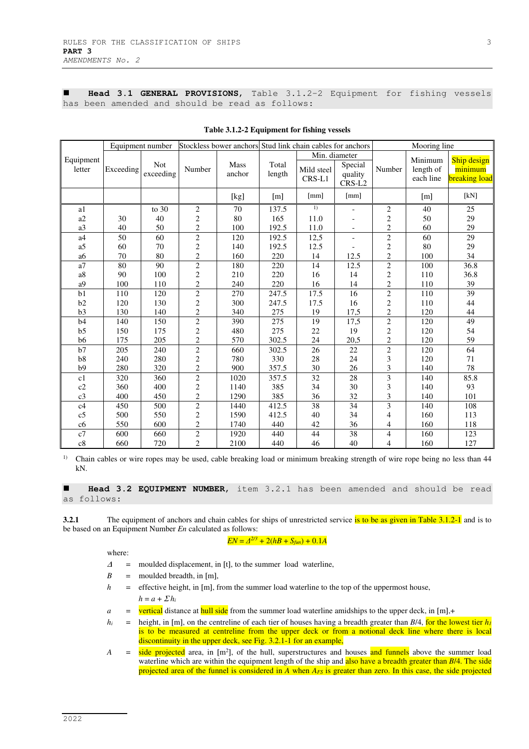**Head 3.1 GENERAL PROVISIONS**, Table 3.1.2-2 Equipment for fishing vessels has been amended and should be read as follows:

|                     |           | Equipment number | Stockless bower anchors Stud link chain cables for anchors |                |                   |                                       |                              |                | Mooring line                      |                                                |  |  |
|---------------------|-----------|------------------|------------------------------------------------------------|----------------|-------------------|---------------------------------------|------------------------------|----------------|-----------------------------------|------------------------------------------------|--|--|
| Equipment<br>letter | Exceeding | Not<br>exceeding | Number                                                     | Mass<br>anchor | Total<br>length   | Min. diameter<br>Mild steel<br>CRS-L1 | Special<br>quality<br>CRS-L2 | Number         | Minimum<br>length of<br>each line | Ship design<br>minimum<br><b>breaking</b> load |  |  |
|                     |           |                  |                                                            | [kg]           | $\lceil m \rceil$ | [mm]                                  | [mm]                         |                | [m]                               | [kN]                                           |  |  |
| a1                  |           | to $30$          | $\overline{2}$                                             | 70             | 137.5             | 1)                                    |                              | 2              | 40                                | 25                                             |  |  |
| a2                  | 30        | 40               | $\overline{c}$                                             | 80             | 165               | 11.0                                  | $\overline{a}$               | $\overline{c}$ | 50                                | 29                                             |  |  |
| a3                  | 40        | 50               | $\overline{2}$                                             | 100            | 192.5             | 11.0                                  | $\overline{\phantom{a}}$     | $\overline{c}$ | 60                                | 29                                             |  |  |
| a4                  | 50        | 60               | $\overline{c}$                                             | 120            | 192.5             | 12,5                                  | $\overline{\phantom{a}}$     | $\overline{c}$ | 60                                | 29                                             |  |  |
| a5                  | 60        | 70               | $\overline{2}$                                             | 140            | 192.5             | 12.5                                  |                              | $\overline{c}$ | 80                                | 29                                             |  |  |
| a6                  | 70        | 80               | $\overline{c}$                                             | 160            | 220               | 14                                    | 12.5                         | $\sqrt{2}$     | 100                               | 34                                             |  |  |
| a <sub>7</sub>      | 80        | 90               | $\overline{2}$                                             | 180            | 220               | 14                                    | 12.5                         | $\overline{2}$ | 100                               | 36.8                                           |  |  |
| a8                  | 90        | 100              | $\overline{c}$                                             | 210            | 220               | 16                                    | 14                           | $\overline{c}$ | 110                               | 36.8                                           |  |  |
| a <sub>9</sub>      | 100       | 110              | $\overline{c}$                                             | 240            | 220               | 16                                    | 14                           | $\overline{c}$ | 110                               | 39                                             |  |  |
| b1                  | 110       | 120              | $\overline{2}$                                             | 270            | 247.5             | 17.5                                  | 16                           | $\overline{2}$ | 110                               | $\overline{39}$                                |  |  |
| b2                  | 120       | 130              | $\overline{c}$                                             | 300            | 247.5             | 17.5                                  | 16                           | $\sqrt{2}$     | 110                               | 44                                             |  |  |
| b3                  | 130       | 140              | $\overline{c}$                                             | 340            | 275               | 19                                    | 17,5                         | $\overline{c}$ | 120                               | 44                                             |  |  |
| b4                  | 140       | 150              | $\overline{2}$                                             | 390            | 275               | 19                                    | 17,5                         | $\overline{2}$ | 120                               | 49                                             |  |  |
| b <sub>5</sub>      | 150       | 175              | $\overline{c}$                                             | 480            | 275               | 22                                    | 19                           | $\sqrt{2}$     | 120                               | 54                                             |  |  |
| b6                  | 175       | 205              | $\overline{c}$                                             | 570            | 302.5             | 24                                    | 20,5                         | $\overline{c}$ | 120                               | 59                                             |  |  |
| b7                  | 205       | 240              | $\overline{2}$                                             | 660            | 302.5             | 26                                    | 22                           | $\overline{2}$ | 120                               | 64                                             |  |  |
| b8                  | 240       | 280              | $\overline{c}$                                             | 780            | 330               | 28                                    | 24                           | 3              | 120                               | 71                                             |  |  |
| b9                  | 280       | 320              | $\overline{2}$                                             | 900            | 357.5             | 30                                    | 26                           | 3              | 140                               | 78                                             |  |  |
| c1                  | 320       | 360              | $\overline{2}$                                             | 1020           | 357.5             | 32                                    | 28                           | 3              | 140                               | 85.8                                           |  |  |
| c2                  | 360       | 400              | $\overline{2}$                                             | 1140           | 385               | 34                                    | 30                           | 3              | 140                               | 93                                             |  |  |
| c3                  | 400       | 450              | $\overline{c}$                                             | 1290           | 385               | 36                                    | 32                           | 3              | 140                               | 101                                            |  |  |
| c4                  | 450       | 500              | $\overline{c}$                                             | 1440           | 412.5             | 38                                    | 34                           | 3              | 140                               | 108                                            |  |  |
| c <sub>5</sub>      | 500       | 550              | $\overline{c}$                                             | 1590           | 412.5             | 40                                    | 34                           | $\overline{4}$ | 160                               | 113                                            |  |  |
| c6                  | 550       | 600              | $\overline{c}$                                             | 1740           | 440               | 42                                    | 36                           | 4              | 160                               | 118                                            |  |  |
| c7                  | 600       | 660              | $\overline{c}$                                             | 1920           | 440               | 44                                    | 38                           | $\overline{4}$ | 160                               | 123                                            |  |  |
| c8                  | 660       | 720              | $\overline{2}$                                             | 2100           | 440               | 46                                    | 40                           | $\overline{4}$ | 160                               | 127                                            |  |  |

**Table 3.1.2-2 Equipment for fishing vessels** 

<sup>1)</sup> Chain cables or wire ropes may be used, cable breaking load or minimum breaking strength of wire rope being no less than 44 kN.

 **Head 3.2 EQUIPMENT NUMBER**, item 3.2.1 has been amended and should be read as follows:

**3.2.1** The equipment of anchors and chain cables for ships of unrestricted service is to be as given in Table 3.1.2-1 and is to be based on an Equipment Number *En* calculated as follows:

### $EN = \Delta^{2/3} + 2(hB + S_{\text{fun}}) + 0.1A$

where:

- $\Delta$  = moulded displacement, in [t], to the summer load waterline,
- $B =$  moulded breadth, in [m],
- *h* = effective height, in [m], from the summer load waterline to the top of the uppermost house,  $h = a + \sum h_i$
- $a =$  vertical distance at hull side from the summer load waterline amidships to the upper deck, in [m],+
- $h_i$  = height, in [m], on the centreline of each tier of houses having a breadth greater than *B*/4, for the lowest tier  $h_i$ is to be measured at centreline from the upper deck or from a notional deck line where there is local discontinuity in the upper deck, see Fig. 3.2.1-1 for an example,
- *A* = side projected area, in [m<sup>2</sup>], of the hull, superstructures and houses and funnels above the summer load waterline which are within the equipment length of the ship and also have a breadth greater than *B*/4. The side projected area of the funnel is considered in *A* when *AFS* is greater than zero. In this case, the side projected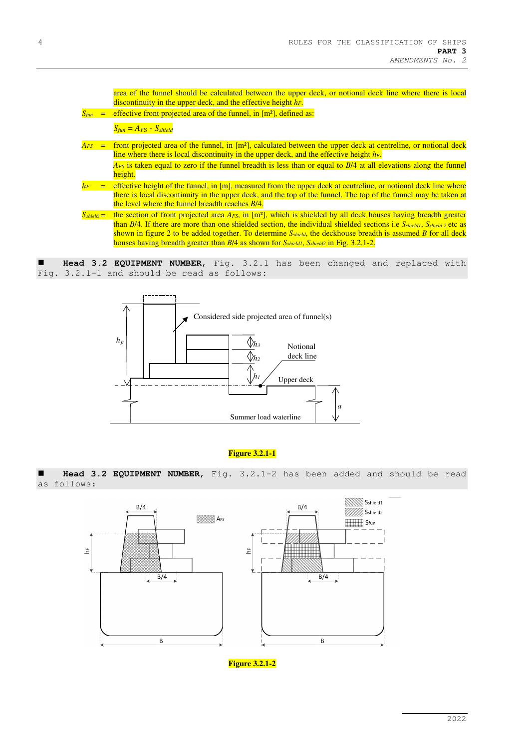area of the funnel should be calculated between the upper deck, or notional deck line where there is local discontinuity in the upper deck, and the effective height *hF*.  $S_{\text{fun}}$  = effective front projected area of the funnel, in  $[m^2]$ , defined as:  $S_{\text{fun}} = A_{\text{FS}} - S_{\text{shield}}$  $A_{FS}$  = front projected area of the funnel, in  $[m^2]$ , calculated between the upper deck at centreline, or notional deck line where there is local discontinuity in the upper deck, and the effective height *hF*.  *AFS* is taken equal to zero if the funnel breadth is less than or equal to *B*/4 at all elevations along the funnel height.  $h_F$  = effective height of the funnel, in [m], measured from the upper deck at centreline, or notional deck line where there is local discontinuity in the upper deck, and the top of the funnel. The top of the funnel may be taken at the level where the funnel breadth reaches *B*/4. *S*<sub>*shield*</sub> = the section of front projected area *A<sub>FS</sub>*, in [m<sup>2</sup>], which is shielded by all deck houses having breadth greater than *B*/4. If there are more than one shielded section, the individual shielded sections i.e *Sshield1*, *Sshield 2* etc as

shown in figure 2 to be added together. To determine *Sshield*, the deckhouse breadth is assumed *B* for all deck houses having breadth greater than *B*/4 as shown for *Sshield1*, *Sshield2* in Fig. 3.2.1-2.

 **Head 3.2 EQUIPMENT NUMBER**, Fig. 3.2.1 has been changed and replaced with Fig. 3.2.1-1 and should be read as follows:



## **Figure 3.2.1-1**

 **Head 3.2 EQUIPMENT NUMBER**, Fig. 3.2.1-2 has been added and should be read as follows:



**Figure 3.2.1-2**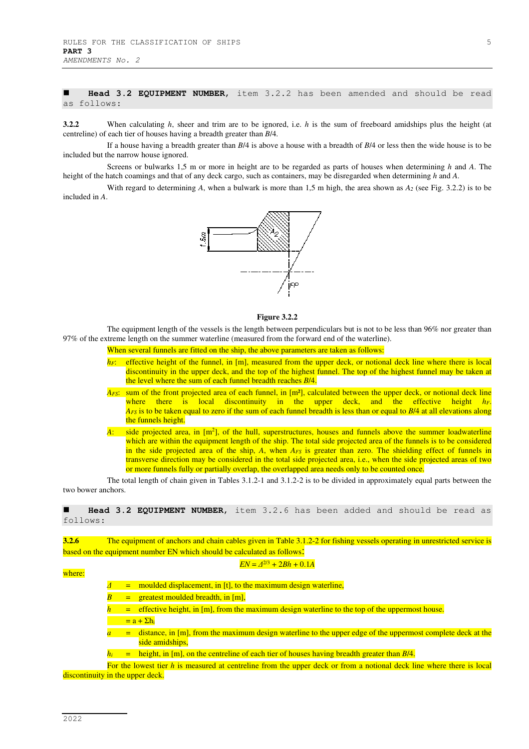**Head 3.2 EQUIPMENT NUMBER**, item 3.2.2 has been amended and should be read as follows:

**3.2.2** When calculating *h*, sheer and trim are to be ignored, i.e. *h* is the sum of freeboard amidships plus the height (at centreline) of each tier of houses having a breadth greater than *B*/4.

If a house having a breadth greater than *B*/4 is above a house with a breadth of *B*/4 or less then the wide house is to be included but the narrow house ignored.

Screens or bulwarks 1,5 m or more in height are to be regarded as parts of houses when determining *h* and *A*. The height of the hatch coamings and that of any deck cargo, such as containers, may be disregarded when determining *h* and *A*.

With regard to determining *A*, when a bulwark is more than 1,5 m high, the area shown as *A2* (see Fig. 3.2.2) is to be included in *A*.



#### **Figure 3.2.2**

The equipment length of the vessels is the length between perpendiculars but is not to be less than 96% nor greater than 97% of the extreme length on the summer waterline (measured from the forward end of the waterline).

When several funnels are fitted on the ship, the above parameters are taken as follows:

- $h_F$ : effective height of the funnel, in [m], measured from the upper deck, or notional deck line where there is local discontinuity in the upper deck, and the top of the highest funnel. The top of the highest funnel may be taken at the level where the sum of each funnel breadth reaches *B*/4.
- $A_{FS}$ : sum of the front projected area of each funnel, in  $[m^2]$ , calculated between the upper deck, or notional deck line where there is local discontinuity in the upper deck, and the effective height *hF*. *A<sub>FS</sub>* is to be taken equal to zero if the sum of each funnel breadth is less than or equal to *B*/4 at all elevations along the funnels height.
- A: side projected area, in [m<sup>2</sup>], of the hull, superstructures, houses and funnels above the summer loadwaterline which are within the equipment length of the ship. The total side projected area of the funnels is to be considered in the side projected area of the ship,  $A$ , when  $A_{FS}$  is greater than zero. The shielding effect of funnels in transverse direction may be considered in the total side projected area, i.e., when the side projected areas of two or more funnels fully or partially overlap, the overlapped area needs only to be counted once.

The total length of chain given in Tables 3.1.2-1 and 3.1.2-2 is to be divided in approximately equal parts between the two bower anchors.

 **Head 3.2 EQUIPMENT NUMBER**, item 3.2.6 has been added and should be read as follows:

**3.2.6** The equipment of anchors and chain cables given in Table 3.1.2-2 for fishing vessels operating in unrestricted service is based on the equipment number EN which should be calculated as follows:

### $EN = \Delta^{2/3} + 2Bh + 0.1A$

*Δ* = moulded displacement, in [t], to the maximum design waterline,

 $=$  greatest moulded breadth, in  $[m]$ ,

<sup>=</sup> effective height, in [m], from the maximum design waterline to the top of the uppermost house.

- $= a + \sum h_i$
- $a =$  distance, in [m], from the maximum design waterline to the upper edge of the uppermost complete deck at the side amidships,
- $h_i$  = height, in [m], on the centreline of each tier of houses having breadth greater than *B*/4.

For the lowest tier  $h$  is measured at centreline from the upper deck or from a notional deck line where there is local discontinuity in the upper deck.

where: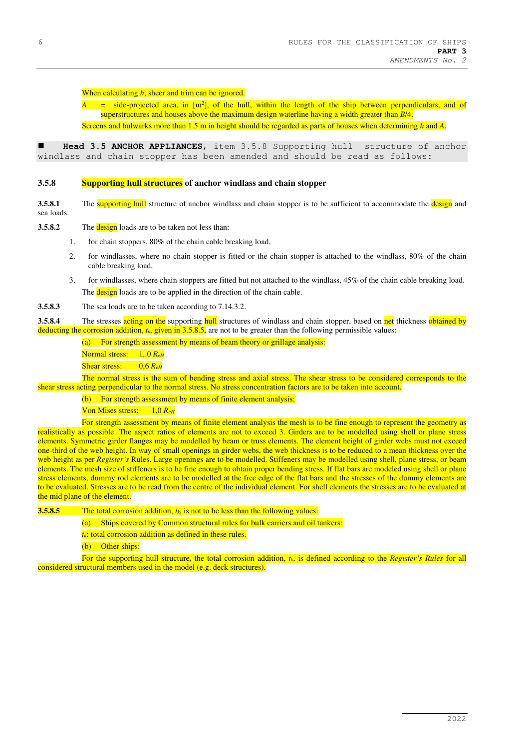# When calculating *h*, sheer and trim can be ignored.

*A* = side-projected area, in [m<sup>2</sup>], of the hull, within the length of the ship between perpendiculars, and of superstructures and houses above the maximum design waterline having a width greater than *B*/4.

Screens and bulwarks more than 1.5 m in height should be regarded as parts of houses when determining *h* and *A*.

 **Head 3.5 ANCHOR APPLIANCES**, item 3.5.8 Supporting hull structure of anchor windlass and chain stopper has been amended and should be read as follows:

#### **3.5.8 Supporting hull structures of anchor windlass and chain stopper**

**3.5.8.1** The **supporting hull** structure of anchor windlass and chain stopper is to be sufficient to accommodate the **design** and sea loads.

**3.5.8.2** The **design** loads are to be taken not less than:

- 1. for chain stoppers, 80% of the chain cable breaking load,
- 2. for windlasses, where no chain stopper is fitted or the chain stopper is attached to the windlass, 80% of the chain cable breaking load,
- 3. for windlasses, where chain stoppers are fitted but not attached to the windlass, 45% of the chain cable breaking load. The **design** loads are to be applied in the direction of the chain cable.
- **3.5.8.3** The sea loads are to be taken according to 7.14.3.2.

**3.5.8.4** The stresses acting on the supporting hull structures of windlass and chain stopper, based on net thickness obtained by deducting the corrosion addition,  $t_k$ , given in 3.5.8.5, are not to be greater than the following permissible values:

(a) For strength assessment by means of beam theory or grillage analysis:

Normal stress: 1,.0 *ReH*

Shear stress: 0,6 *ReH*

The normal stress is the sum of bending stress and axial stress. The shear stress to be considered corresponds to the shear stress acting perpendicular to the normal stress. No stress concentration factors are to be taken into account.

(b) For strength assessment by means of finite element analysis:

Von Mises stress: 1,0 *ReH*

For strength assessment by means of finite element analysis the mesh is to be fine enough to represent the geometry as realistically as possible. The aspect ratios of elements are not to exceed 3. Girders are to be modelled using shell or plane stress elements. Symmetric girder flanges may be modelled by beam or truss elements. The element height of girder webs must not exceed one-third of the web height. In way of small openings in girder webs, the web thickness is to be reduced to a mean thickness over the web height as per *Register's* Rules. Large openings are to be modelled. Stiffeners may be modelled using shell, plane stress, or beam elements. The mesh size of stiffeners is to be fine enough to obtain proper bending stress. If flat bars are modeled using shell or plane stress elements, dummy rod elements are to be modelled at the free edge of the flat bars and the stresses of the dummy elements are to be evaluated. Stresses are to be read from the centre of the individual element. For shell elements the stresses are to be evaluated at the mid plane of the element.

**3.5.8.5** The total corrosion addition, *tk*, is not to be less than the following values:

(a) Ships covered by Common structural rules for bulk carriers and oil tankers:

*tk*: total corrosion addition as defined in these rules.

(b) Other ships:

For the supporting hull structure, the total corrosion addition, *tk*, is defined according to the *Register's Rules* for all considered structural members used in the model (e.g. deck structures).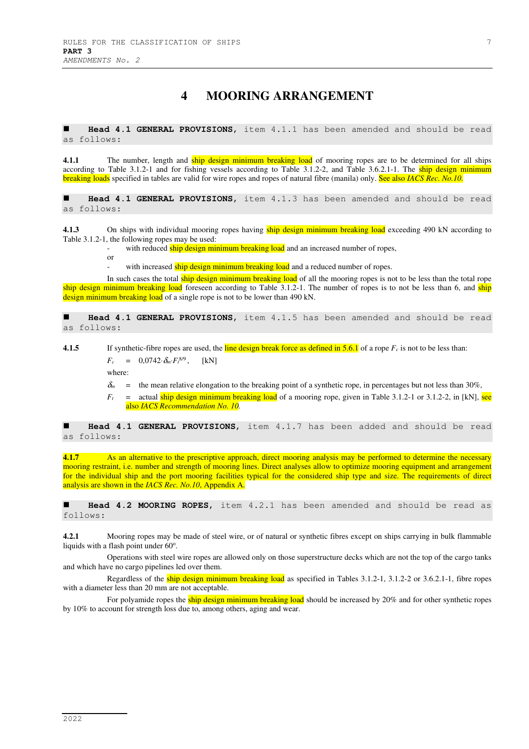# **4 MOORING ARRANGEMENT**

 **Head 4.1 GENERAL PROVISIONS**, item 4.1.1 has been amended and should be read as follows:

**4.1.1** The number, length and ship design minimum breaking load of mooring ropes are to be determined for all ships according to Table 3.1.2-1 and for fishing vessels according to Table 3.1.2-2, and Table 3.6.2.1-1. The ship design minimum breaking loads specified in tables are valid for wire ropes and ropes of natural fibre (manila) only. See also *IACS Rec. No.10.* 

 **Head 4.1 GENERAL PROVISIONS**, item 4.1.3 has been amended and should be read as follows:

**4.1.3** On ships with individual mooring ropes having ship design minimum breaking load exceeding 490 kN according to Table 3.1.2-1, the following ropes may be used:

with reduced ship design minimum breaking load and an increased number of ropes,

or

with increased ship design minimum breaking load and a reduced number of ropes.

In such cases the total ship design minimum breaking load of all the mooring ropes is not to be less than the total rope ship design minimum breaking load foreseen according to Table  $3.1.2$ -1. The number of ropes is to not be less than 6, and ship design minimum breaking load of a single rope is not to be lower than 490 kN.

 **Head 4.1 GENERAL PROVISIONS**, item 4.1.5 has been amended and should be read as follows:

**4.1.5** If synthetic-fibre ropes are used, the line design break force as defined in 5.6.1 of a rope  $F_c$  is not to be less than:  $F_c = 0.0742 \cdot \delta_m \cdot F_t^{8/9}$ ,  $[kN]$ 

where:

- $\delta_m$  = the mean relative elongation to the breaking point of a synthetic rope, in percentages but not less than 30%,
- $F_t$  = actual ship design minimum breaking load of a mooring rope, given in Table 3.1.2-1 or 3.1.2-2, in [kN], see also *IACS Recommendation No. 10.*

 **Head 4.1 GENERAL PROVISIONS**, item 4.1.7 has been added and should be read as follows:

**4.1.7** As an alternative to the prescriptive approach, direct mooring analysis may be performed to determine the necessary mooring restraint, i.e. number and strength of mooring lines. Direct analyses allow to optimize mooring equipment and arrangement for the individual ship and the port mooring facilities typical for the considered ship type and size. The requirements of direct analysis are shown in the *IACS Rec. No.10*, Appendix A.

 **Head 4.2 MOORING ROPES**, item 4.2.1 has been amended and should be read as follows:

**4.2.1** Mooring ropes may be made of steel wire, or of natural or synthetic fibres except on ships carrying in bulk flammable liquids with a flash point under 60°.

Operations with steel wire ropes are allowed only on those superstructure decks which are not the top of the cargo tanks and which have no cargo pipelines led over them.

Regardless of the ship design minimum breaking load as specified in Tables  $3.1.2$ -1,  $3.1.2$ -2 or  $3.6.2.1$ -1, fibre ropes with a diameter less than 20 mm are not acceptable.

For polyamide ropes the ship design minimum breaking load should be increased by 20% and for other synthetic ropes by 10% to account for strength loss due to, among others, aging and wear.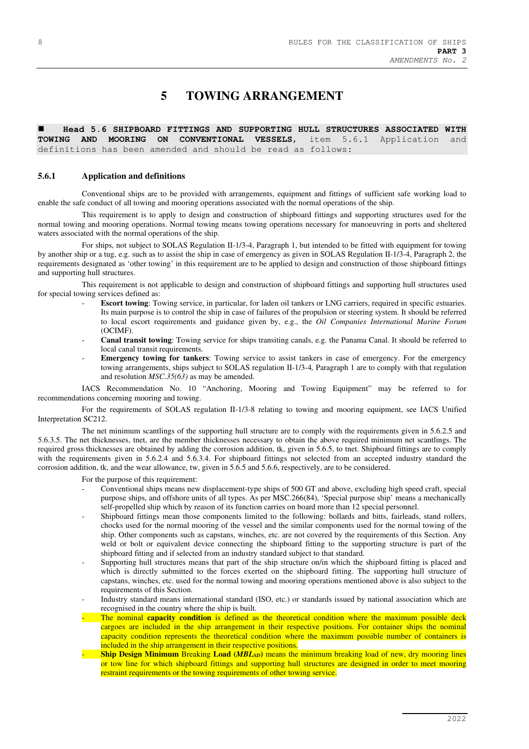# **5 TOWING ARRANGEMENT**

 **Head 5.6 SHIPBOARD FITTINGS AND SUPPORTING HULL STRUCTURES ASSOCIATED WITH TOWING AND MOORING ON CONVENTIONAL VESSELS**, item 5.6.1 Application and definitions has been amended and should be read as follows:

#### **5.6.1 Application and definitions**

Conventional ships are to be provided with arrangements, equipment and fittings of sufficient safe working load to enable the safe conduct of all towing and mooring operations associated with the normal operations of the ship.

This requirement is to apply to design and construction of shipboard fittings and supporting structures used for the normal towing and mooring operations. Normal towing means towing operations necessary for manoeuvring in ports and sheltered waters associated with the normal operations of the ship.

For ships, not subject to SOLAS Regulation II-1/3-4, Paragraph 1, but intended to be fitted with equipment for towing by another ship or a tug, e.g. such as to assist the ship in case of emergency as given in SOLAS Regulation II-1/3-4, Paragraph 2, the requirements designated as 'other towing' in this requirement are to be applied to design and construction of those shipboard fittings and supporting hull structures.

This requirement is not applicable to design and construction of shipboard fittings and supporting hull structures used for special towing services defined as:

- **Escort towing**: Towing service, in particular, for laden oil tankers or LNG carriers, required in specific estuaries. Its main purpose is to control the ship in case of failures of the propulsion or steering system. It should be referred to local escort requirements and guidance given by, e.g., the *Oil Companies International Marine Forum* (OCIMF).
- - **Canal transit towing**: Towing service for ships transiting canals, e.g. the Panama Canal. It should be referred to local canal transit requirements.
- - **Emergency towing for tankers**: Towing service to assist tankers in case of emergency. For the emergency towing arrangements, ships subject to SOLAS regulation II-1/3-4*,* Paragraph 1 are to comply with that regulation and resolution *MSC.35(63)* as may be amended.

IACS Recommendation No. 10 "Anchoring, Mooring and Towing Equipment" may be referred to for recommendations concerning mooring and towing.

For the requirements of SOLAS regulation II-1/3-8 relating to towing and mooring equipment, see IACS Unified Interpretation SC212.

The net minimum scantlings of the supporting hull structure are to comply with the requirements given in 5.6.2.5 and 5.6.3.5. The net thicknesses, tnet, are the member thicknesses necessary to obtain the above required minimum net scantlings. The required gross thicknesses are obtained by adding the corrosion addition, tk, given in 5.6.5, to tnet. Shipboard fittings are to comply with the requirements given in 5.6.2.4 and 5.6.3.4. For shipboard fittings not selected from an accepted industry standard the corrosion addition, tk, and the wear allowance, tw, given in 5.6.5 and 5.6.6, respectively, are to be considered.

For the purpose of this requirement:

- Conventional ships means new displacement-type ships of 500 GT and above, excluding high speed craft, special purpose ships, and offshore units of all types. As per MSC.266(84), 'Special purpose ship' means a mechanically self-propelled ship which by reason of its function carries on board more than 12 special personnel.
- Shipboard fittings mean those components limited to the following: bollards and bitts, fairleads, stand rollers, chocks used for the normal mooring of the vessel and the similar components used for the normal towing of the ship. Other components such as capstans, winches, etc. are not covered by the requirements of this Section. Any weld or bolt or equivalent device connecting the shipboard fitting to the supporting structure is part of the shipboard fitting and if selected from an industry standard subject to that standard.
- Supporting hull structures means that part of the ship structure on/in which the shipboard fitting is placed and which is directly submitted to the forces exerted on the shipboard fitting. The supporting hull structure of capstans, winches, etc. used for the normal towing and mooring operations mentioned above is also subject to the requirements of this Section.
- Industry standard means international standard (ISO, etc.) or standards issued by national association which are recognised in the country where the ship is built.
- The nominal **capacity condition** is defined as the theoretical condition where the maximum possible deck cargoes are included in the ship arrangement in their respective positions. For container ships the nominal capacity condition represents the theoretical condition where the maximum possible number of containers is included in the ship arrangement in their respective positions.
- **Ship Design Minimum** Breaking **Load (***MBLSD***)** means the minimum breaking load of new, dry mooring lines or tow line for which shipboard fittings and supporting hull structures are designed in order to meet mooring restraint requirements or the towing requirements of other towing service.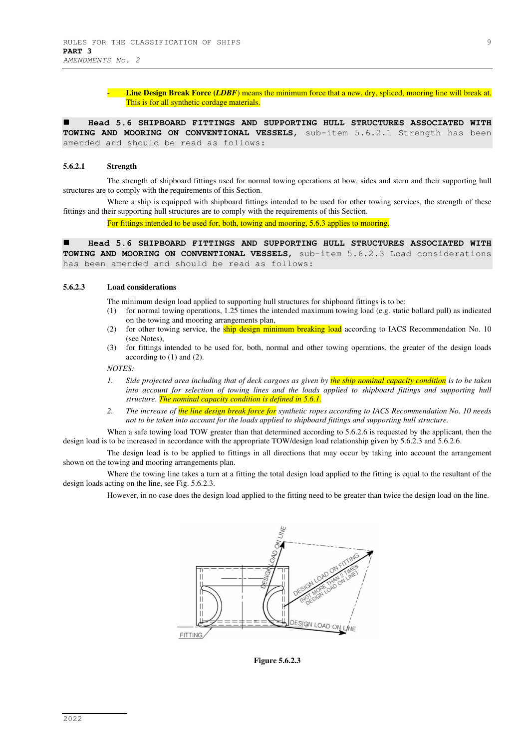Line Design Break Force (*LDBF*) means the minimum force that a new, dry, spliced, mooring line will break at. This is for all synthetic cordage materials.

 **Head 5.6 SHIPBOARD FITTINGS AND SUPPORTING HULL STRUCTURES ASSOCIATED WITH TOWING AND MOORING ON CONVENTIONAL VESSELS**, sub-item 5.6.2.1 Strength has been amended and should be read as follows:

#### **5.6.2.1 Strength**

The strength of shipboard fittings used for normal towing operations at bow, sides and stern and their supporting hull structures are to comply with the requirements of this Section.

Where a ship is equipped with shipboard fittings intended to be used for other towing services, the strength of these fittings and their supporting hull structures are to comply with the requirements of this Section.

For fittings intended to be used for, both, towing and mooring, 5.6.3 applies to mooring.

 **Head 5.6 SHIPBOARD FITTINGS AND SUPPORTING HULL STRUCTURES ASSOCIATED WITH TOWING AND MOORING ON CONVENTIONAL VESSELS**, sub-item 5.6.2.3 Load considerations has been amended and should be read as follows:

#### **5.6.2.3 Load considerations**

The minimum design load applied to supporting hull structures for shipboard fittings is to be:

- (1) for normal towing operations, 1.25 times the intended maximum towing load (e.g. static bollard pull) as indicated on the towing and mooring arrangements plan,
- (2) for other towing service, the ship design minimum breaking load according to IACS Recommendation No. 10 (see Notes),
- (3) for fittings intended to be used for, both, normal and other towing operations, the greater of the design loads according to (1) and (2).

#### *NOTES:*

- *1. Side projected area including that of deck cargoes as given by the ship nominal capacity condition is to be taken into account for selection of towing lines and the loads applied to shipboard fittings and supporting hull structure*. *The nominal capacity condition is defined in 5.6.1.*
- *2. The increase of the line design break force for synthetic ropes according to IACS Recommendation No. 10 needs not to be taken into account for the loads applied to shipboard fittings and supporting hull structure.*

When a safe towing load TOW greater than that determined according to 5.6.2.6 is requested by the applicant, then the design load is to be increased in accordance with the appropriate TOW/design load relationship given by 5.6.2.3 and 5.6.2.6.

The design load is to be applied to fittings in all directions that may occur by taking into account the arrangement shown on the towing and mooring arrangements plan.

Where the towing line takes a turn at a fitting the total design load applied to the fitting is equal to the resultant of the design loads acting on the line, see Fig. 5.6.2.3.

However, in no case does the design load applied to the fitting need to be greater than twice the design load on the line.



**Figure 5.6.2.3**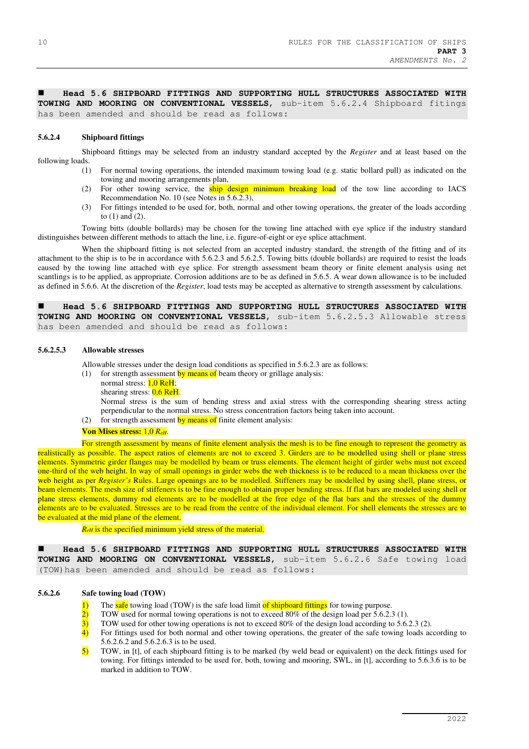**Head 5.6 SHIPBOARD FITTINGS AND SUPPORTING HULL STRUCTURES ASSOCIATED WITH TOWING AND MOORING ON CONVENTIONAL VESSELS**, sub-item 5.6.2.4 Shipboard fitings has been amended and should be read as follows:

#### **5.6.2.4 Shipboard fittings**

Shipboard fittings may be selected from an industry standard accepted by the *Register* and at least based on the following loads.

- (1) For normal towing operations, the intended maximum towing load (e.g. static bollard pull) as indicated on the towing and mooring arrangements plan,
- (2) For other towing service, the ship design minimum breaking load of the tow line according to IACS Recommendation No. 10 (see Notes in 5.6.2.3),
- (3) For fittings intended to be used for, both, normal and other towing operations, the greater of the loads according to (1) and (2).

Towing bitts (double bollards) may be chosen for the towing line attached with eye splice if the industry standard distinguishes between different methods to attach the line, i.e. figure-of-eight or eye splice attachment.

When the shipboard fitting is not selected from an accepted industry standard, the strength of the fitting and of its attachment to the ship is to be in accordance with 5.6.2.3 and 5.6.2.5. Towing bitts (double bollards) are required to resist the loads caused by the towing line attached with eye splice. For strength assessment beam theory or finite element analysis using net scantlings is to be applied, as appropriate. Corrosion additions are to be as defined in 5.6.5. A wear down allowance is to be included as defined in 5.6.6. At the discretion of the *Register*, load tests may be accepted as alternative to strength assessment by calculations.

 **Head 5.6 SHIPBOARD FITTINGS AND SUPPORTING HULL STRUCTURES ASSOCIATED WITH TOWING AND MOORING ON CONVENTIONAL VESSELS**, sub-item 5.6.2.5.3 Allowable stress has been amended and should be read as follows:

#### **5.6.2.5.3 Allowable stresses**

Allowable stresses under the design load conditions as specified in 5.6.2.3 are as follows:

- (1) for strength assessment by means of beam theory or grillage analysis:
	- normal stress:  $1,0$  ReH;
		- shearing stress:  $0.6$  ReH.

Normal stress is the sum of bending stress and axial stress with the corresponding shearing stress acting perpendicular to the normal stress. No stress concentration factors being taken into account.

(2) for strength assessment by means of finite element analysis:

#### **Von Mises stress:** 1,0 *ReH*.

For strength assessment by means of finite element analysis the mesh is to be fine enough to represent the geometry as realistically as possible. The aspect ratios of elements are not to exceed 3. Girders are to be modelled using shell or plane stress elements. Symmetric girder flanges may be modelled by beam or truss elements. The element height of girder webs must not exceed one-third of the web height. In way of small openings in girder webs the web thickness is to be reduced to a mean thickness over the web height as per *Register's* Rules. Large openings are to be modelled. Stiffeners may be modelled by using shell, plane stress, or beam elements. The mesh size of stiffeners is to be fine enough to obtain proper bending stress. If flat bars are modeled using shell or plane stress elements, dummy rod elements are to be modelled at the free edge of the flat bars and the stresses of the dummy elements are to be evaluated. Stresses are to be read from the centre of the individual element. For shell elements the stresses are to be evaluated at the mid plane of the element.

*R*<sub>*eH*</sub> is the specified minimum yield stress of the material.

 **Head 5.6 SHIPBOARD FITTINGS AND SUPPORTING HULL STRUCTURES ASSOCIATED WITH TOWING AND MOORING ON CONVENTIONAL VESSELS**, sub-item 5.6.2.6 Safe towing load (TOW)has been amended and should be read as follows:

## **5.6.2.6 Safe towing load (TOW)**

- 1) The safe towing load (TOW) is the safe load limit of shipboard fittings for towing purpose.
- 2) TOW used for normal towing operations is not to exceed  $80\%$  of the design load per 5.6.2.3 (1).
- $3)$  TOW used for other towing operations is not to exceed 80% of the design load according to 5.6.2.3 (2).<br>4) For fittings used for both normal and other towing operations, the greater of the safe towing loads according
- 4) For fittings used for both normal and other towing operations, the greater of the safe towing loads according to 5.6.2.6.2 and 5.6.2.6.3 is to be used.
- 5) TOW, in [t], of each shipboard fitting is to be marked (by weld bead or equivalent) on the deck fittings used for towing. For fittings intended to be used for, both, towing and mooring, SWL, in [t], according to 5.6.3.6 is to be marked in addition to TOW.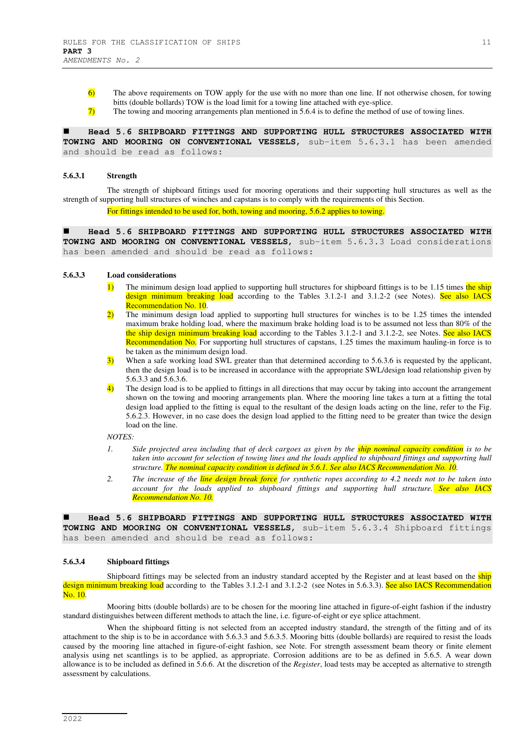6) The above requirements on TOW apply for the use with no more than one line. If not otherwise chosen, for towing bitts (double bollards) TOW is the load limit for a towing line attached with eye-splice.

7) The towing and mooring arrangements plan mentioned in 5.6.4 is to define the method of use of towing lines.

 **Head 5.6 SHIPBOARD FITTINGS AND SUPPORTING HULL STRUCTURES ASSOCIATED WITH TOWING AND MOORING ON CONVENTIONAL VESSELS**, sub-item 5.6.3.1 has been amended and should be read as follows:

#### **5.6.3.1 Strength**

The strength of shipboard fittings used for mooring operations and their supporting hull structures as well as the strength of supporting hull structures of winches and capstans is to comply with the requirements of this Section.

For fittings intended to be used for, both, towing and mooring, 5.6.2 applies to towing.

 **Head 5.6 SHIPBOARD FITTINGS AND SUPPORTING HULL STRUCTURES ASSOCIATED WITH TOWING AND MOORING ON CONVENTIONAL VESSELS**, sub-item 5.6.3.3 Load considerations has been amended and should be read as follows:

#### **5.6.3.3 Load considerations**

- The minimum design load applied to supporting hull structures for shipboard fittings is to be 1.15 times the ship design minimum breaking load according to the Tables 3.1.2-1 and 3.1.2-2 (see Notes). See also IACS Recommendation No. 10.
- 2) The minimum design load applied to supporting hull structures for winches is to be 1.25 times the intended maximum brake holding load, where the maximum brake holding load is to be assumed not less than 80% of the the ship design minimum breaking load according to the Tables 3.1.2-1 and 3.1.2-2, see Notes. See also IACS Recommendation No. For supporting hull structures of capstans, 1.25 times the maximum hauling-in force is to be taken as the minimum design load.
- 3) When a safe working load SWL greater than that determined according to 5.6.3.6 is requested by the applicant, then the design load is to be increased in accordance with the appropriate SWL/design load relationship given by 5.6.3.3 and 5.6.3.6.
- 4) The design load is to be applied to fittings in all directions that may occur by taking into account the arrangement shown on the towing and mooring arrangements plan. Where the mooring line takes a turn at a fitting the total design load applied to the fitting is equal to the resultant of the design loads acting on the line, refer to the Fig. 5.6.2.3. However, in no case does the design load applied to the fitting need to be greater than twice the design load on the line.

#### *NOTES:*

- *1. Side projected area including that of deck cargoes as given by the ship nominal capacity condition is to be taken into account for selection of towing lines and the loads applied to shipboard fittings and supporting hull structure. The nominal capacity condition is defined in 5.6.1. See also IACS Recommendation No. 10.*
- *2. The increase of the line design break force for synthetic ropes according to 4.2 needs not to be taken into account for the loads applied to shipboard fittings and supporting hull structure. See also IACS Recommendation No. 10.*

 **Head 5.6 SHIPBOARD FITTINGS AND SUPPORTING HULL STRUCTURES ASSOCIATED WITH TOWING AND MOORING ON CONVENTIONAL VESSELS**, sub-item 5.6.3.4 Shipboard fittings has been amended and should be read as follows:

#### **5.6.3.4 Shipboard fittings**

Shipboard fittings may be selected from an industry standard accepted by the Register and at least based on the ship design minimum breaking load according to the Tables 3.1.2-1 and 3.1.2-2 (see Notes in 5.6.3.3). See also IACS Recommendation No. 10.

Mooring bitts (double bollards) are to be chosen for the mooring line attached in figure-of-eight fashion if the industry standard distinguishes between different methods to attach the line, i.e. figure-of-eight or eye splice attachment.

When the shipboard fitting is not selected from an accepted industry standard, the strength of the fitting and of its attachment to the ship is to be in accordance with 5.6.3.3 and 5.6.3.5. Mooring bitts (double bollards) are required to resist the loads caused by the mooring line attached in figure-of-eight fashion, see Note. For strength assessment beam theory or finite element analysis using net scantlings is to be applied, as appropriate. Corrosion additions are to be as defined in 5.6.5. A wear down allowance is to be included as defined in 5.6.6. At the discretion of the *Register*, load tests may be accepted as alternative to strength assessment by calculations.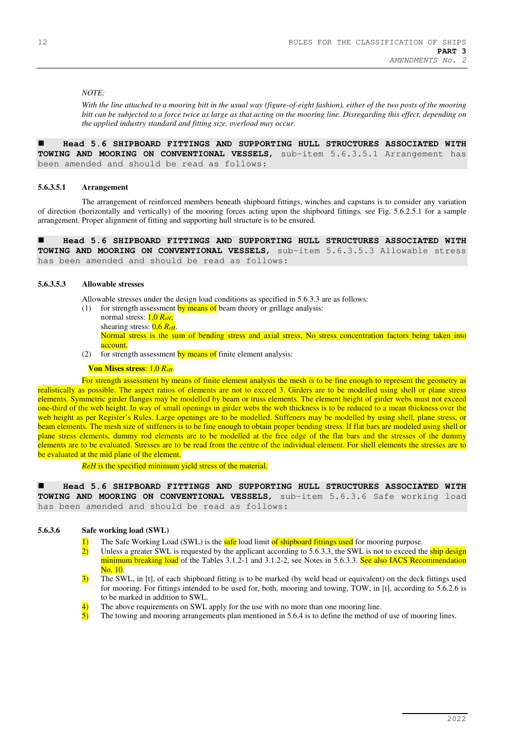# *NOTE:*

*With the line attached to a mooring bitt in the usual way (figure-of-eight fashion), either of the two posts of the mooring bitt can be subjected to a force twice as large as that acting on the mooring line. Disregarding this effect, depending on the applied industry standard and fitting size, overload may occur.* 

 **Head 5.6 SHIPBOARD FITTINGS AND SUPPORTING HULL STRUCTURES ASSOCIATED WITH TOWING AND MOORING ON CONVENTIONAL VESSELS**, sub-item 5.6.3.5.1 Arrangement has been amended and should be read as follows:

#### **5.6.3.5.1 Arrangement**

The arrangement of reinforced members beneath shipboard fittings, winches and capstans is to consider any variation of direction (horizontally and vertically) of the mooring forces acting upon the shipboard fittings, see Fig. 5.6.2.5.1 for a sample arrangement. Proper alignment of fitting and supporting hull structure is to be ensured.

 **Head 5.6 SHIPBOARD FITTINGS AND SUPPORTING HULL STRUCTURES ASSOCIATED WITH TOWING AND MOORING ON CONVENTIONAL VESSELS**, sub-item 5.6.3.5.3 Allowable stress has been amended and should be read as follows:

#### **5.6.3.5.3 Allowable stresses**

Allowable stresses under the design load conditions as specified in 5.6.3.3 are as follows:

- (1) for strength assessment by means of beam theory or grillage analysis:
	- normal stress: 1,0 *ReH*;
		- shearing stress: 0,6 *ReH*.

Normal stress is the sum of bending stress and axial stress. No stress concentration factors being taken into account.

(2) for strength assessment by means of finite element analysis:

#### **Von Mises stress**: 1,0 *ReH*.

For strength assessment by means of finite element analysis the mesh is to be fine enough to represent the geometry as realistically as possible. The aspect ratios of elements are not to exceed 3. Girders are to be modelled using shell or plane stress elements. Symmetric girder flanges may be modelled by beam or truss elements. The element height of girder webs must not exceed one-third of the web height. In way of small openings in girder webs the web thickness is to be reduced to a mean thickness over the web height as per Register's Rules. Large openings are to be modelled. Stiffeners may be modelled by using shell, plane stress, or beam elements. The mesh size of stiffeners is to be fine enough to obtain proper bending stress. If flat bars are modeled using shell or plane stress elements, dummy rod elements are to be modelled at the free edge of the flat bars and the stresses of the dummy elements are to be evaluated. Stresses are to be read from the centre of the individual element. For shell elements the stresses are to be evaluated at the mid plane of the element.

*ReH* is the specified minimum yield stress of the material.

 **Head 5.6 SHIPBOARD FITTINGS AND SUPPORTING HULL STRUCTURES ASSOCIATED WITH TOWING AND MOORING ON CONVENTIONAL VESSELS**, sub-item 5.6.3.6 Safe working load has been amended and should be read as follows:

# **5.6.3.6 Safe working load (SWL)**

- 1) The Safe Working Load (SWL) is the **safe** load limit of shipboard fittings used for mooring purpose.
- 2) Unless a greater SWL is requested by the applicant according to 5.6.3.3, the SWL is not to exceed the ship design minimum breaking load of the Tables 3.1.2-1 and 3.1.2-2, see Notes in 5.6.3.3. See also IACS Recommendation No. 10.
- 3) The SWL, in [t], of each shipboard fitting is to be marked (by weld bead or equivalent) on the deck fittings used for mooring. For fittings intended to be used for, both, mooring and towing, TOW, in [t], according to 5.6.2.6 is to be marked in addition to SWL.
- The above requirements on SWL apply for the use with no more than one mooring line.
- 5) The towing and mooring arrangements plan mentioned in 5.6.4 is to define the method of use of mooring lines.